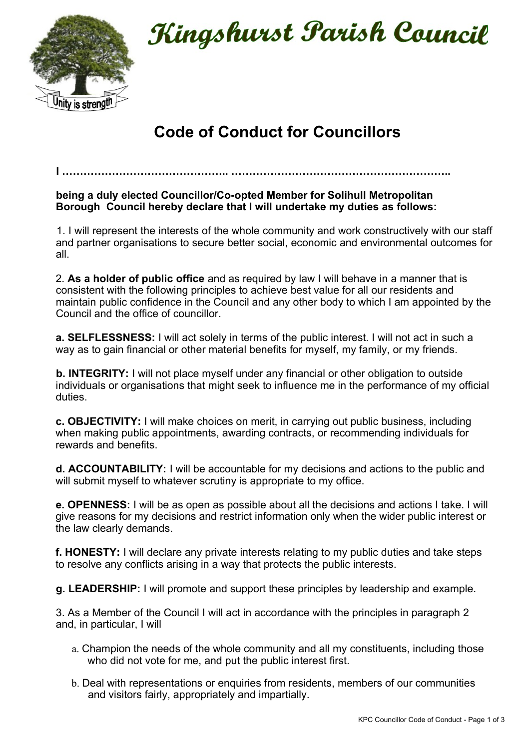

Kingshurst Parish Council

## **Code of Conduct for Councillors**

## **being a duly elected Councillor/Co-opted Member for Solihull Metropolitan Borough Council hereby declare that I will undertake my duties as follows:**

**I ……………………………………….. ……………………………………………………..** 

1. I will represent the interests of the whole community and work constructively with our staff and partner organisations to secure better social, economic and environmental outcomes for all.

2. **As a holder of public office** and as required by law I will behave in a manner that is consistent with the following principles to achieve best value for all our residents and maintain public confidence in the Council and any other body to which I am appointed by the Council and the office of councillor.

**a. SELFLESSNESS:** I will act solely in terms of the public interest. I will not act in such a way as to gain financial or other material benefits for myself, my family, or my friends.

**b. INTEGRITY:** I will not place myself under any financial or other obligation to outside individuals or organisations that might seek to influence me in the performance of my official duties.

**c. OBJECTIVITY:** I will make choices on merit, in carrying out public business, including when making public appointments, awarding contracts, or recommending individuals for rewards and benefits.

**d. ACCOUNTABILITY:** I will be accountable for my decisions and actions to the public and will submit myself to whatever scrutiny is appropriate to my office.

**e. OPENNESS:** I will be as open as possible about all the decisions and actions I take. I will give reasons for my decisions and restrict information only when the wider public interest or the law clearly demands.

**f. HONESTY:** I will declare any private interests relating to my public duties and take steps to resolve any conflicts arising in a way that protects the public interests.

**g. LEADERSHIP:** I will promote and support these principles by leadership and example.

3. As a Member of the Council I will act in accordance with the principles in paragraph 2 and, in particular, I will

- a. Champion the needs of the whole community and all my constituents, including those who did not vote for me, and put the public interest first.
- b. Deal with representations or enquiries from residents, members of our communities and visitors fairly, appropriately and impartially.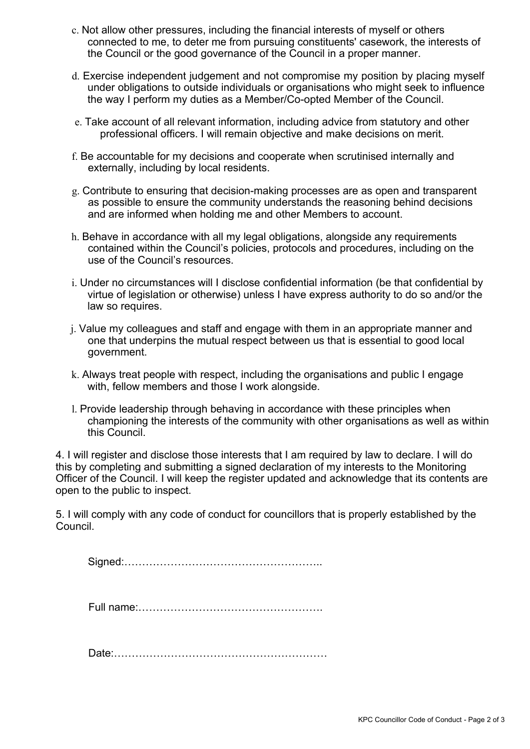- c. Not allow other pressures, including the financial interests of myself or others connected to me, to deter me from pursuing constituents' casework, the interests of the Council or the good governance of the Council in a proper manner.
- d. Exercise independent judgement and not compromise my position by placing myself under obligations to outside individuals or organisations who might seek to influence the way I perform my duties as a Member/Co-opted Member of the Council.
- e. Take account of all relevant information, including advice from statutory and other professional officers. I will remain objective and make decisions on merit.
- f. Be accountable for my decisions and cooperate when scrutinised internally and externally, including by local residents.
- g. Contribute to ensuring that decision-making processes are as open and transparent as possible to ensure the community understands the reasoning behind decisions and are informed when holding me and other Members to account.
- h. Behave in accordance with all my legal obligations, alongside any requirements contained within the Council's policies, protocols and procedures, including on the use of the Council's resources.
- i. Under no circumstances will I disclose confidential information (be that confidential by virtue of legislation or otherwise) unless I have express authority to do so and/or the law so requires.
- j. Value my colleagues and staff and engage with them in an appropriate manner and one that underpins the mutual respect between us that is essential to good local government.
- k. Always treat people with respect, including the organisations and public I engage with, fellow members and those I work alongside.
- l. Provide leadership through behaving in accordance with these principles when championing the interests of the community with other organisations as well as within this Council.

4. I will register and disclose those interests that I am required by law to declare. I will do this by completing and submitting a signed declaration of my interests to the Monitoring Officer of the Council. I will keep the register updated and acknowledge that its contents are open to the public to inspect.

5. I will comply with any code of conduct for councillors that is properly established by the Council.

Signed:………………………………………………..

Full name:…………………………………………….

Date:……………………………………………………